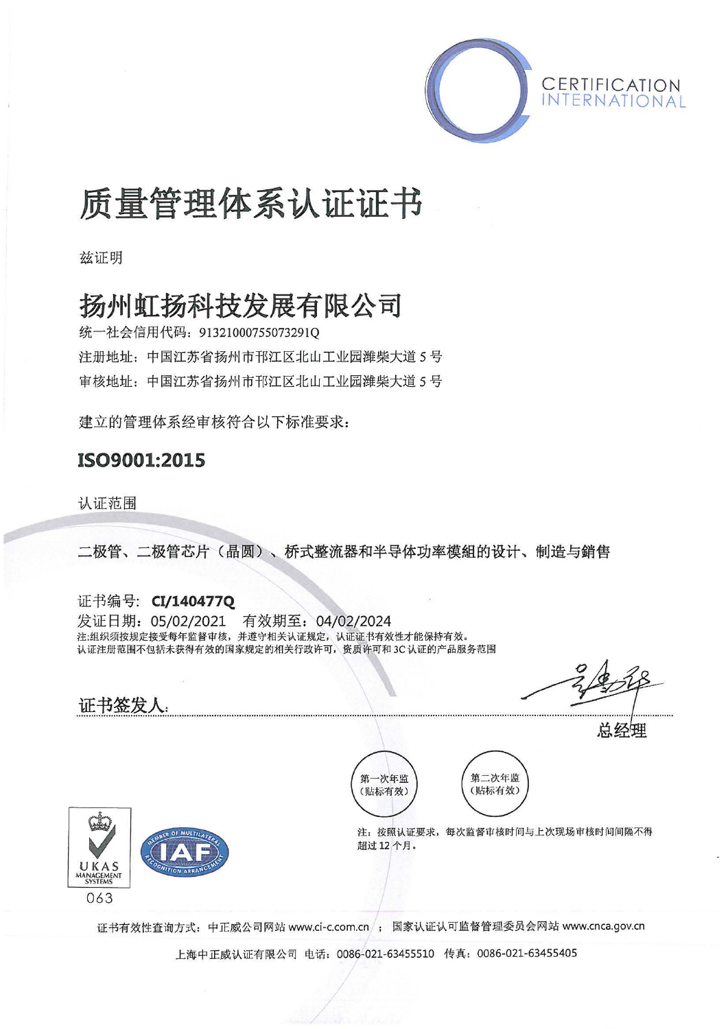

# 质量管理体系认证证书

兹证明

## 扬州虹扬科技发展有限公司

统一社会信用代码: 91321000755073291Q 注册地址: 中国江苏省扬州市邗江区北山工业园潍柴大道 5号 审核地址: 中国江苏省扬州市邗江区北山工业园潍柴大道 5号

建立的管理体系经审核符合以下标准要求:

### IS09001:2015

认证范围

二极管、二极管芯片(晶圆〉、桥式整流器和半导体功率模组的设计、制造与销售

证书编号: CI/1404770 发证日期: 05/02/2021 有效期至: 04/02/2024 注.组织须按规定接受每年监督审核,并遵守相关认证规定,认证证书有效性才能保持有效. 认证注册范围不包括未获得有效的国家规定的相关行政许可 资质许可和 3C 认证的产品服务范围

 $\circ$   $\wedge$  $\frac{2}{\sqrt{2}}$ 

总经理



证书签发人:

第二次年监 第一次年监 (贴标有效) (贴标有效)

注:按照认证要求,每次监督审核时间与上次现场审核时间间隔不得 超过 <sup>12</sup> 个月

证书有效性查询方式:中正戚公司网站 www.ci-c.com.cn ; 国家认证认可监督管理委员会网站 www.cnca.gov.cn

上海中正威认证有限公司电话: <sup>0086</sup> 021-63455510 传真: 0086-021-63455405